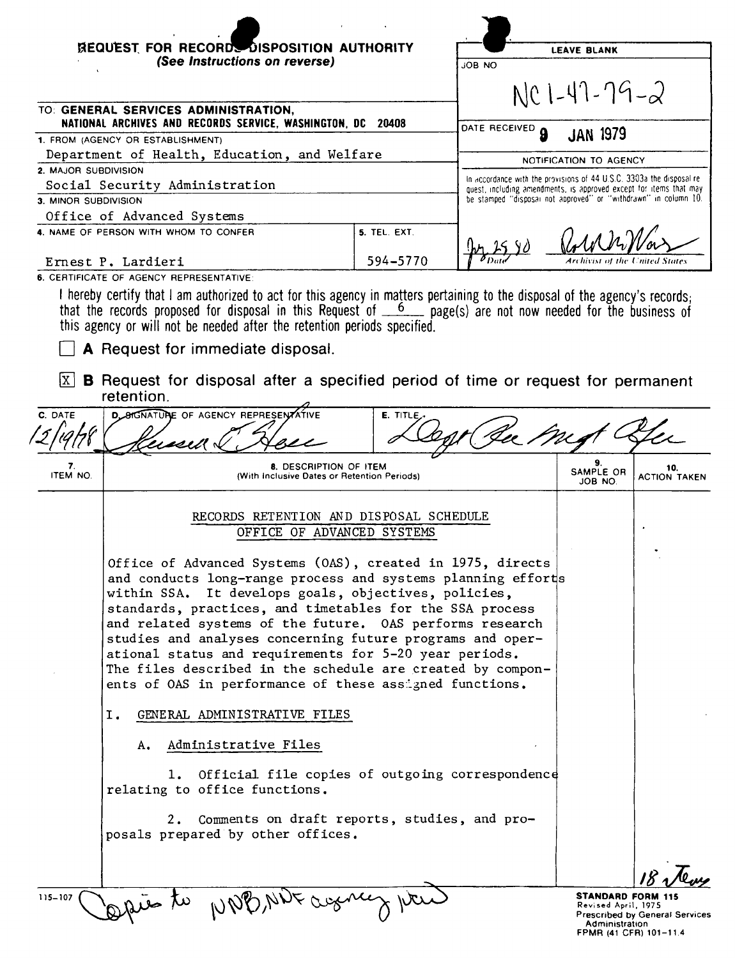|                      | REQUEST FOR RECORDS DISPOSITION AUTHORITY<br>(See Instructions on reverse)                                                                                                                                                                                                                                                                                                                                                                                                                                                                                 |              | <b>JOB NO</b>                                                                                                                         | <b>LEAVE BLANK</b>             |                            |
|----------------------|------------------------------------------------------------------------------------------------------------------------------------------------------------------------------------------------------------------------------------------------------------------------------------------------------------------------------------------------------------------------------------------------------------------------------------------------------------------------------------------------------------------------------------------------------------|--------------|---------------------------------------------------------------------------------------------------------------------------------------|--------------------------------|----------------------------|
|                      | TO: GENERAL SERVICES ADMINISTRATION,                                                                                                                                                                                                                                                                                                                                                                                                                                                                                                                       |              |                                                                                                                                       | $NC1 - 47 - 79 - 2$            |                            |
|                      | NATIONAL ARCHIVES AND RECORDS SERVICE, WASHINGTON, DC 20408                                                                                                                                                                                                                                                                                                                                                                                                                                                                                                |              | DATE RECEIVED<br>$\mathbf{a}$                                                                                                         | <b>JAN 1979</b>                |                            |
|                      | 1. FROM (AGENCY OR ESTABLISHMENT)<br>Department of Health, Education, and Welfare                                                                                                                                                                                                                                                                                                                                                                                                                                                                          |              |                                                                                                                                       |                                |                            |
| 2. MAJOR SUBDIVISION |                                                                                                                                                                                                                                                                                                                                                                                                                                                                                                                                                            |              |                                                                                                                                       | NOTIFICATION TO AGENCY         |                            |
|                      | Social Security Administration                                                                                                                                                                                                                                                                                                                                                                                                                                                                                                                             |              | In accordance with the provisions of 44 U.S.C. 3303a the disposal re-                                                                 |                                |                            |
| 3. MINOR SUBDIVISION |                                                                                                                                                                                                                                                                                                                                                                                                                                                                                                                                                            |              | quest, including amendments, is approved except for items that may<br>be stamped "disposal not approved" or "withdrawn" in column 10. |                                |                            |
|                      | Office of Advanced Systems                                                                                                                                                                                                                                                                                                                                                                                                                                                                                                                                 |              |                                                                                                                                       |                                |                            |
|                      | 4. NAME OF PERSON WITH WHOM TO CONFER                                                                                                                                                                                                                                                                                                                                                                                                                                                                                                                      | 5. TEL. EXT. |                                                                                                                                       |                                |                            |
|                      | Ernest P. Lardieri                                                                                                                                                                                                                                                                                                                                                                                                                                                                                                                                         | 594-5770     |                                                                                                                                       | Archivist of the United States |                            |
|                      | 6. CERTIFICATE OF AGENCY REPRESENTATIVE:                                                                                                                                                                                                                                                                                                                                                                                                                                                                                                                   |              |                                                                                                                                       |                                |                            |
| x                    | I hereby certify that I am authorized to act for this agency in matters pertaining to the disposal of the agency's records;<br>that the records proposed for disposal in this Request of $6$ page(s) are not now needed for the business of<br>this agency or will not be needed after the retention periods specified.<br>A Request for immediate disposal.<br><b>B</b> Request for disposal after a specified period of time or request for permanent<br>retention.                                                                                      |              |                                                                                                                                       |                                |                            |
| C. DATE              | <b>D. SIGNATURE OF AGENCY REPRESENTATIVE</b>                                                                                                                                                                                                                                                                                                                                                                                                                                                                                                               | E. TITLE     |                                                                                                                                       |                                |                            |
|                      |                                                                                                                                                                                                                                                                                                                                                                                                                                                                                                                                                            |              |                                                                                                                                       |                                |                            |
|                      |                                                                                                                                                                                                                                                                                                                                                                                                                                                                                                                                                            |              |                                                                                                                                       |                                |                            |
| 7.<br>ITEM NO.       | 8. DESCRIPTION OF ITEM<br>(With Inclusive Dates or Retention Periods)                                                                                                                                                                                                                                                                                                                                                                                                                                                                                      |              |                                                                                                                                       | 9.<br>SAMPLE OR<br>JOB NO.     | 10.<br><b>ACTION TAKEN</b> |
|                      | RECORDS RETENTION AND DISPOSAL SCHEDULE<br>OFFICE OF ADVANCED SYSTEMS                                                                                                                                                                                                                                                                                                                                                                                                                                                                                      |              |                                                                                                                                       |                                |                            |
|                      | Office of Advanced Systems (OAS), created in 1975, directs<br>and conducts long-range process and systems planning efforts<br>within SSA. It develops goals, objectives, policies,<br>standards, practices, and timetables for the SSA process<br>and related systems of the future. OAS performs research<br>studies and analyses concerning future programs and oper-<br>ational status and requirements for 5-20 year periods.<br>The files described in the schedule are created by compon-<br>ents of OAS in performance of these assigned functions. |              |                                                                                                                                       |                                |                            |
|                      | GENERAL ADMINISTRATIVE FILES<br>Ι.                                                                                                                                                                                                                                                                                                                                                                                                                                                                                                                         |              |                                                                                                                                       |                                |                            |
|                      | Administrative Files<br>А.                                                                                                                                                                                                                                                                                                                                                                                                                                                                                                                                 |              |                                                                                                                                       |                                |                            |
|                      | Official file copies of outgoing correspondence<br>1.<br>relating to office functions.                                                                                                                                                                                                                                                                                                                                                                                                                                                                     |              |                                                                                                                                       |                                |                            |
|                      | Comments on draft reports, studies, and pro-<br>2.<br>posals prepared by other offices.                                                                                                                                                                                                                                                                                                                                                                                                                                                                    |              |                                                                                                                                       |                                |                            |
|                      |                                                                                                                                                                                                                                                                                                                                                                                                                                                                                                                                                            |              |                                                                                                                                       |                                |                            |

Administration FPMR (41 CFR) 101-11.4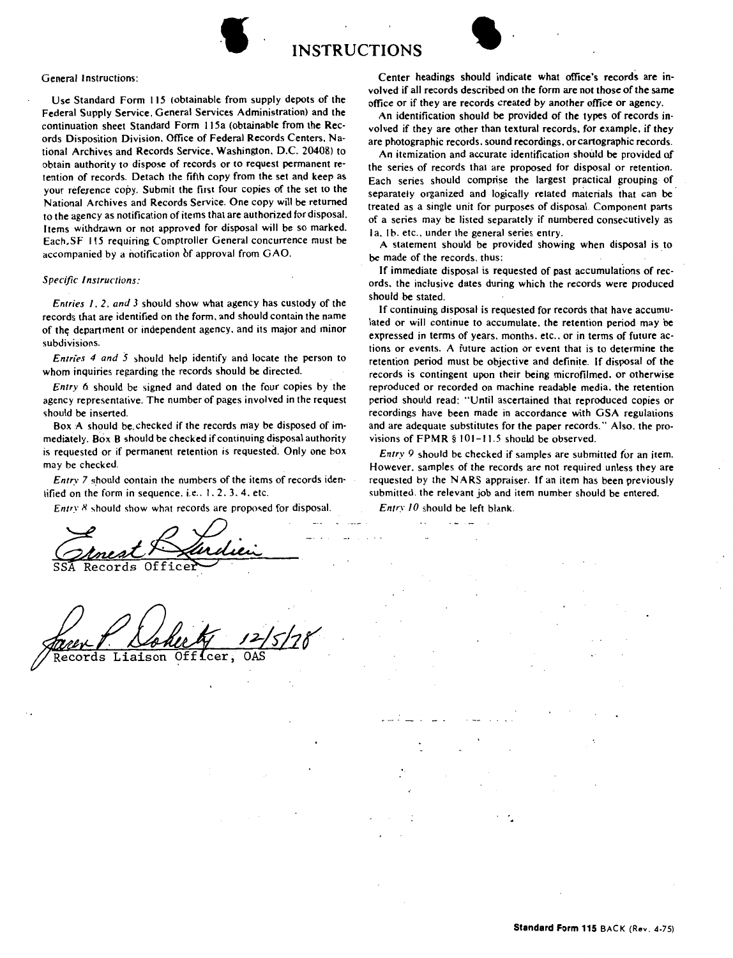



## General Instructions:

Use Standard Form 115 (obtainable from supply depots of the Federal Supply Service, General Services Administration) and the continuation sheet Standard Form 115a (obtainable from the Records Disposition Division. Office of Federal Records Centers, National Archives and Records Service. Washington. D.C. 20408) to obtain authority to dispose of records or to request permanent retention of records. Detach the fifth copy from the set and keep as your reference copy. Submit the first four copies of the set to the National Archives and Records Service. One copy will be returned to the agency as notification of items that are authorized for disposal. Items withdrawn or not approved for disposal will be so marked. Each.SF 115 requiring Comptroller General concurrence must be accompanied by a notification of approval from GAO.

## *Specific Instructions:*

*Entries* J, *2, and 3* should show what agency has custody of the records that are identified on the form. and should contain the name of the; department or independent agency. and its major and minor subdivisions.

*Entries* 4 *and 5* should help identify and locate the person to whom inquiries regarding the records should be directed.

*Entry* 6 should be signed and dated on the four copies by the agency representative. The number of pages involved in the request should be inserted.

Box A should be.checked if the records may be disposed of immediately. Box B should be checked if continuing disposal authority is requested or if permanent retention is requested. Only one box may be checked.

*Entry 7* should contain the numbers of the items of records identified on the form in sequence. i.e.,  $1, 2, 3, 4$ , etc.

*Entry 8* should show what records are proposed for disposal.

Records Offi

Liaison Officer ds

Center headings should indicate what office's records are involved if all records described on the form are not those of the same office or if they are records created by another office or agency.

An identification should be provided of the types of records involved if they are other than textural records, for example, if they are photographic records. sound recordings, or cartographic records.

An itemization and accurate identification should be provided of the series of records that are proposed for disposal or retention. Each series should comprise the largest practical grouping of separately organized and logically related materials that can be treated as a single unit for purposes of disposal. Component parts of a series may be listed separately if numbered consecutively as Ia, Ib. etc., under the general series entry.

A statement should be provided showing when disposal is to be made of the records. thus:

If immediate disposal is requested of past accumulations of records. the inclusive dates during which the records were produced should be stated.

If continuing disposal is requested for records that have accumulated or will continue to accumulate. the retention period may be expressed in terms of years. months. etc.. or in terms of future actions or events. A future action or event that is to determine the retention period must be objective and definite. If disposal of the records is contingent upon their being microfilmed. or otherwise reproduced or recorded on machine readable media. the retention period should read: "Until ascertained that reproduced copies or recordings have been made in accordance with GSA regulations and are adequate substitutes for the paper records." Also. the provisions of  $FPMR \$  101-11.5 should be observed.

*Entry 9* should be checked if samples are submitted for an item. However. samples of the records are not required unless they are requested by the **N ARS** appraiser. If an item has been previously submitted. the relevant job and item number should be entered.

*Entry JO* should be left blank.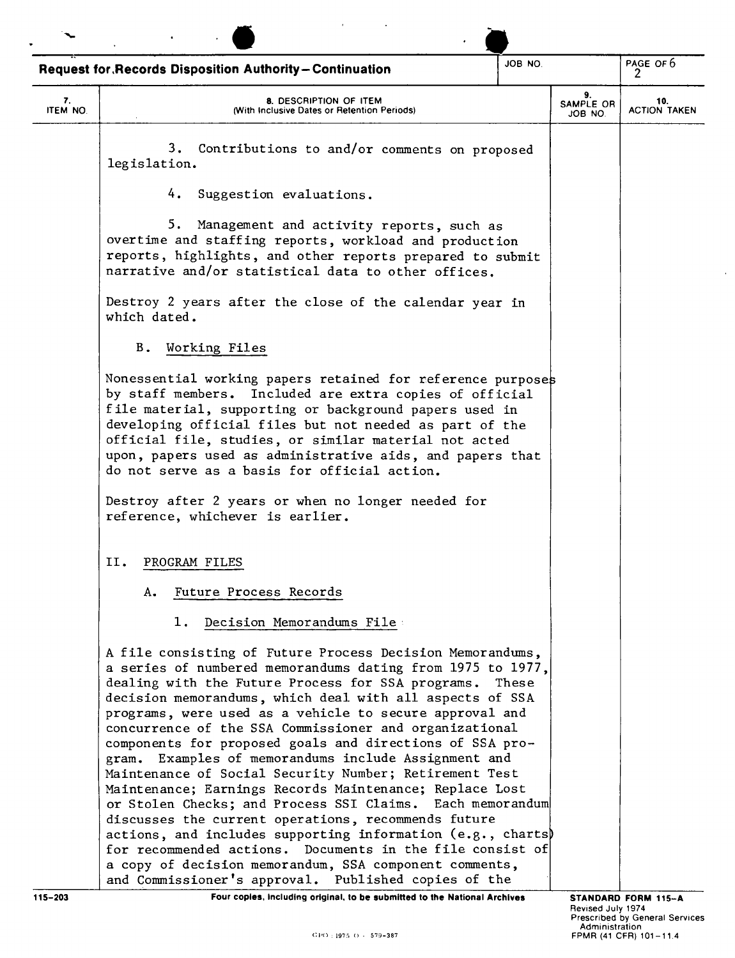|                | JOB NO.<br><b>Request for Records Disposition Authority-Continuation</b>                                                                                                                                                                                                                                                                                                                                                                                                                                                                                                                                                                                                                                                                                                                    |       |                            | PAGE OF 6<br>10.<br><b>ACTION TAKEN</b> |  |
|----------------|---------------------------------------------------------------------------------------------------------------------------------------------------------------------------------------------------------------------------------------------------------------------------------------------------------------------------------------------------------------------------------------------------------------------------------------------------------------------------------------------------------------------------------------------------------------------------------------------------------------------------------------------------------------------------------------------------------------------------------------------------------------------------------------------|-------|----------------------------|-----------------------------------------|--|
| 7.<br>ITEM NO. | 8. DESCRIPTION OF ITEM<br>(With Inclusive Dates or Retention Periods)                                                                                                                                                                                                                                                                                                                                                                                                                                                                                                                                                                                                                                                                                                                       |       | 9.<br>SAMPLE OR<br>JOB NO. |                                         |  |
|                | 3.<br>Contributions to and/or comments on proposed<br>legislation.                                                                                                                                                                                                                                                                                                                                                                                                                                                                                                                                                                                                                                                                                                                          |       |                            |                                         |  |
|                | 4.<br>Suggestion evaluations.                                                                                                                                                                                                                                                                                                                                                                                                                                                                                                                                                                                                                                                                                                                                                               |       |                            |                                         |  |
|                | 5. Management and activity reports, such as<br>overtime and staffing reports, workload and production<br>reports, highlights, and other reports prepared to submit<br>narrative and/or statistical data to other offices.                                                                                                                                                                                                                                                                                                                                                                                                                                                                                                                                                                   |       |                            |                                         |  |
|                | Destroy 2 years after the close of the calendar year in<br>which dated.                                                                                                                                                                                                                                                                                                                                                                                                                                                                                                                                                                                                                                                                                                                     |       |                            |                                         |  |
|                | В.<br>Working Files                                                                                                                                                                                                                                                                                                                                                                                                                                                                                                                                                                                                                                                                                                                                                                         |       |                            |                                         |  |
|                | Nonessential working papers retained for reference purposes<br>by staff members. Included are extra copies of official<br>file material, supporting or background papers used in<br>developing official files but not needed as part of the<br>official file, studies, or similar material not acted<br>upon, papers used as administrative aids, and papers that<br>do not serve as a basis for official action.                                                                                                                                                                                                                                                                                                                                                                           |       |                            |                                         |  |
|                | Destroy after 2 years or when no longer needed for<br>reference, whichever is earlier.                                                                                                                                                                                                                                                                                                                                                                                                                                                                                                                                                                                                                                                                                                      |       |                            |                                         |  |
|                | н.<br>PROGRAM FILES                                                                                                                                                                                                                                                                                                                                                                                                                                                                                                                                                                                                                                                                                                                                                                         |       |                            |                                         |  |
|                | Future Process Records<br>А.                                                                                                                                                                                                                                                                                                                                                                                                                                                                                                                                                                                                                                                                                                                                                                |       |                            |                                         |  |
|                | Decision Memorandums File:<br>1.                                                                                                                                                                                                                                                                                                                                                                                                                                                                                                                                                                                                                                                                                                                                                            |       |                            |                                         |  |
|                | A file consisting of Future Process Decision Memorandums,<br>a series of numbered memorandums dating from 1975 to 1977,<br>dealing with the Future Process for SSA programs.<br>decision memorandums, which deal with all aspects of SSA<br>programs, were used as a vehicle to secure approval and<br>concurrence of the SSA Commissioner and organizational<br>components for proposed goals and directions of SSA pro-<br>gram. Examples of memorandums include Assignment and<br>Maintenance of Social Security Number; Retirement Test<br>Maintenance; Earnings Records Maintenance; Replace Lost<br>or Stolen Checks; and Process SSI Claims. Each memorandum<br>discusses the current operations, recommends future<br>actions, and includes supporting information $(e.g., charts)$ | These |                            |                                         |  |
|                | for recommended actions. Documents in the file consist of<br>a copy of decision memorandum, SSA component comments,<br>and Commissioner's approval. Published copies of the                                                                                                                                                                                                                                                                                                                                                                                                                                                                                                                                                                                                                 |       |                            |                                         |  |
| 115-203        | Four copies, including original, to be submitted to the National Archives                                                                                                                                                                                                                                                                                                                                                                                                                                                                                                                                                                                                                                                                                                                   |       |                            | STANDARD FORM 115-A                     |  |

 $\mathcal{A}$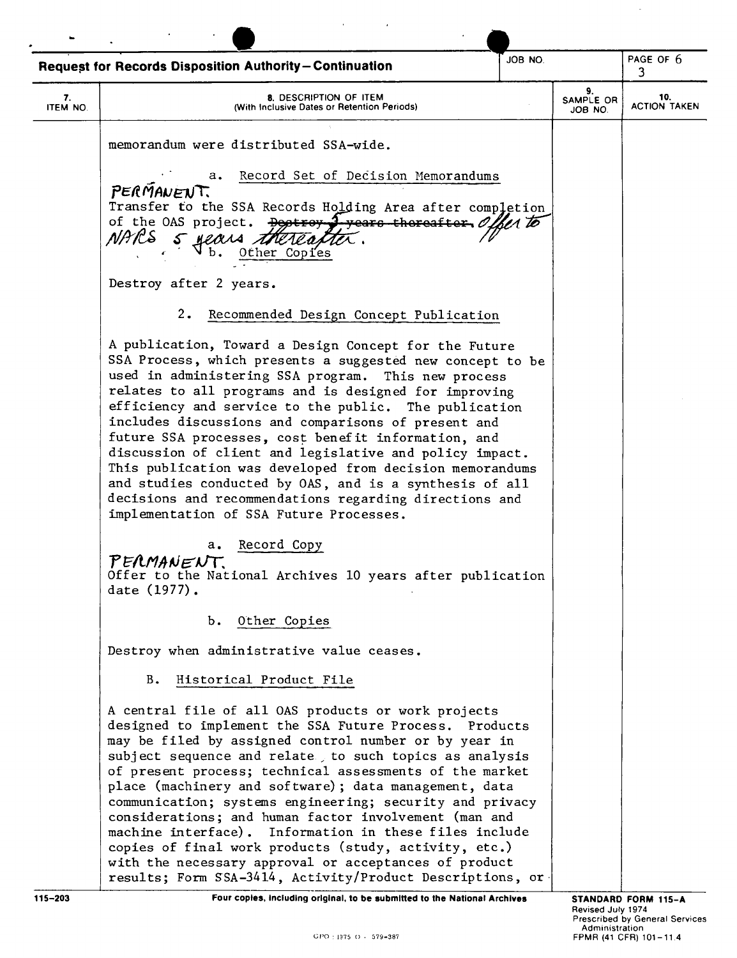|                | Request for Records Disposition Authority-Continuation                                                                                                                                                                                                                                                                                                                                                                                                                                                                                                                                                                                                                                           | JOB NO. |                            | PAGE OF 6<br>3.            |
|----------------|--------------------------------------------------------------------------------------------------------------------------------------------------------------------------------------------------------------------------------------------------------------------------------------------------------------------------------------------------------------------------------------------------------------------------------------------------------------------------------------------------------------------------------------------------------------------------------------------------------------------------------------------------------------------------------------------------|---------|----------------------------|----------------------------|
| 7.<br>ITEM NO. | 8. DESCRIPTION OF ITEM<br>(With Inclusive Dates or Retention Periods)                                                                                                                                                                                                                                                                                                                                                                                                                                                                                                                                                                                                                            |         | 9.<br>SAMPLE OR<br>JOB NO. | 10.<br><b>ACTION TAKEN</b> |
|                | memorandum were distributed SSA-wide.                                                                                                                                                                                                                                                                                                                                                                                                                                                                                                                                                                                                                                                            |         |                            |                            |
|                | Record Set of Decision Memorandums<br>а.<br>PERMANENT.<br>Transfer to the SSA Records Holding Area after completion<br>of the OAS project. $\frac{D}{2}$ $\frac{D}{2}$ $\frac{D}{2}$ $\frac{D}{2}$ $\frac{D}{2}$ $\frac{D}{2}$<br>NARS<br>5 Hears<br>Other Copies<br>$b$ .                                                                                                                                                                                                                                                                                                                                                                                                                       | ber To  |                            |                            |
|                | Destroy after 2 years.                                                                                                                                                                                                                                                                                                                                                                                                                                                                                                                                                                                                                                                                           |         |                            |                            |
|                | 2.<br>Recommended Design Concept Publication                                                                                                                                                                                                                                                                                                                                                                                                                                                                                                                                                                                                                                                     |         |                            |                            |
|                | A publication, Toward a Design Concept for the Future<br>SSA Process, which presents a suggested new concept to be<br>used in administering SSA program. This new process<br>relates to all programs and is designed for improving<br>efficiency and service to the public. The publication<br>includes discussions and comparisons of present and<br>future SSA processes, cost benefit information, and<br>discussion of client and legislative and policy impact.<br>This publication was developed from decision memorandums<br>and studies conducted by OAS, and is a synthesis of all<br>decisions and recommendations regarding directions and<br>implementation of SSA Future Processes. |         |                            |                            |
|                | Record Copy<br>а.<br>PERMANENT.<br>Offer to the National Archives 10 years after publication<br>date (1977).                                                                                                                                                                                                                                                                                                                                                                                                                                                                                                                                                                                     |         |                            |                            |
|                | b. Other Copies                                                                                                                                                                                                                                                                                                                                                                                                                                                                                                                                                                                                                                                                                  |         |                            |                            |
|                | Destroy when administrative value ceases.                                                                                                                                                                                                                                                                                                                                                                                                                                                                                                                                                                                                                                                        |         |                            |                            |
|                | Historical Product File<br>B.                                                                                                                                                                                                                                                                                                                                                                                                                                                                                                                                                                                                                                                                    |         |                            |                            |
|                | A central file of all OAS products or work projects<br>designed to implement the SSA Future Process. Products<br>may be filed by assigned control number or by year in<br>subject sequence and relate, to such topics as analysis<br>of present process; technical assessments of the market<br>place (machinery and software); data management, data<br>communication; systems engineering; security and privacy<br>considerations; and human factor involvement (man and<br>machine interface). Information in these files include<br>copies of final work products (study, activity, etc.)<br>with the necessary approval or acceptances of product                                           |         |                            |                            |

 $\alpha_{\rm{max}}=1.5$ 

115-203 **Four copies, including original, to be submitted to the National Archives** 

 $\hat{\mathcal{A}}$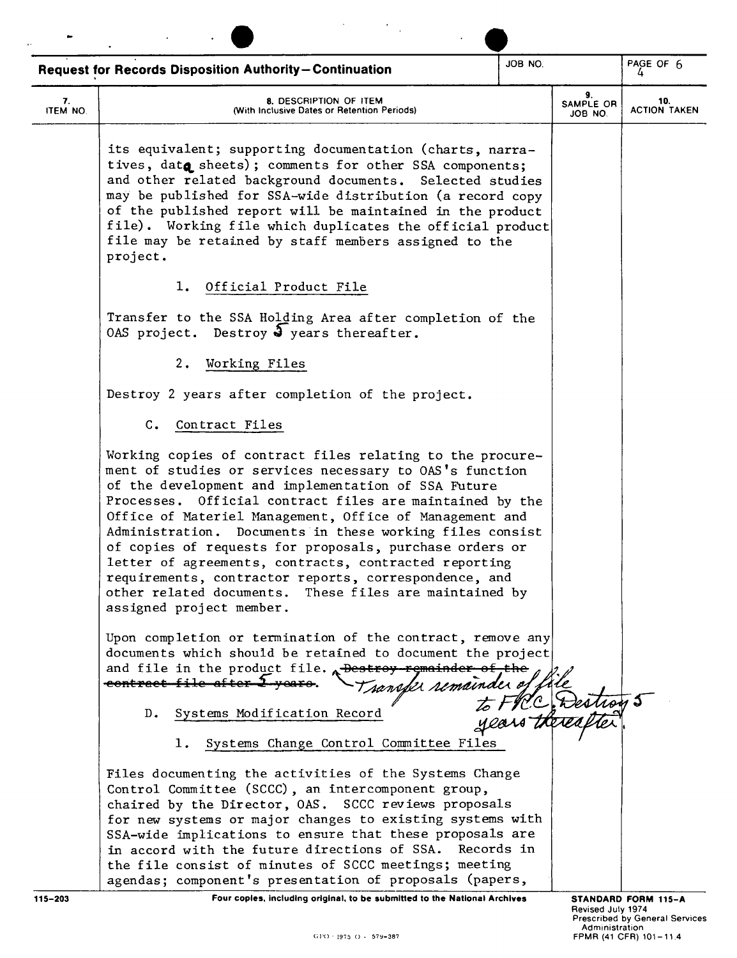|                | JOB NO.<br><b>Request for Records Disposition Authority-Continuation</b>                                                                                                                                                                                                                                                                                                                                                                                                                                                                                                                                                          |  |                                     | PAGE OF $6$                                                                            |  |
|----------------|-----------------------------------------------------------------------------------------------------------------------------------------------------------------------------------------------------------------------------------------------------------------------------------------------------------------------------------------------------------------------------------------------------------------------------------------------------------------------------------------------------------------------------------------------------------------------------------------------------------------------------------|--|-------------------------------------|----------------------------------------------------------------------------------------|--|
| 7.<br>ITEM NO. | 8. DESCRIPTION OF ITEM<br>(With Inclusive Dates or Retention Periods)                                                                                                                                                                                                                                                                                                                                                                                                                                                                                                                                                             |  | 9.<br>SAMPLE OR<br>JOB NO.          | 10.<br><b>ACTION TAKEN</b>                                                             |  |
|                | its equivalent; supporting documentation (charts, narra-<br>tives, data sheets); comments for other SSA components;<br>and other related background documents. Selected studies<br>may be published for SSA-wide distribution (a record copy<br>of the published report will be maintained in the product<br>file). Working file which duplicates the official product<br>file may be retained by staff members assigned to the<br>project.                                                                                                                                                                                       |  |                                     |                                                                                        |  |
|                | Official Product File<br>ı.                                                                                                                                                                                                                                                                                                                                                                                                                                                                                                                                                                                                       |  |                                     |                                                                                        |  |
|                | Transfer to the SSA Holding Area after completion of the<br>OAS project. Destroy $\frac{3}{2}$ years thereafter.                                                                                                                                                                                                                                                                                                                                                                                                                                                                                                                  |  |                                     |                                                                                        |  |
|                | 2.<br>Working Files                                                                                                                                                                                                                                                                                                                                                                                                                                                                                                                                                                                                               |  |                                     |                                                                                        |  |
|                | Destroy 2 years after completion of the project.                                                                                                                                                                                                                                                                                                                                                                                                                                                                                                                                                                                  |  |                                     |                                                                                        |  |
|                | C. Contract Files                                                                                                                                                                                                                                                                                                                                                                                                                                                                                                                                                                                                                 |  |                                     |                                                                                        |  |
|                | Working copies of contract files relating to the procure-<br>ment of studies or services necessary to OAS's function<br>of the development and implementation of SSA Future<br>Processes. Official contract files are maintained by the<br>Office of Materiel Management, Office of Management and<br>Administration. Documents in these working files consist<br>of copies of requests for proposals, purchase orders or<br>letter of agreements, contracts, contracted reporting<br>requirements, contractor reports, correspondence, and<br>other related documents. These files are maintained by<br>assigned project member. |  |                                     |                                                                                        |  |
|                | Upon completion or termination of the contract, remove any<br>documents which should be retained to document the project<br>and file in the product file. $\lambda$ Destroy-remainder of the<br>contract file after 2-veare                                                                                                                                                                                                                                                                                                                                                                                                       |  |                                     |                                                                                        |  |
|                | Systems Modification Record<br>D.<br>1. Systems Change Control Committee Files                                                                                                                                                                                                                                                                                                                                                                                                                                                                                                                                                    |  | C Restroy 5                         |                                                                                        |  |
|                | Files documenting the activities of the Systems Change<br>Control Committee (SCCC), an intercomponent group,<br>chaired by the Director, OAS. SCCC reviews proposals<br>for new systems or major changes to existing systems with<br>SSA-wide implications to ensure that these proposals are<br>in accord with the future directions of SSA.<br>Records in<br>the file consist of minutes of SCCC meetings; meeting<br>agendas; component's presentation of proposals (papers,                                                                                                                                                   |  |                                     |                                                                                        |  |
| $115 - 203$    | Four coples, including original, to be submitted to the National Archives<br>GPO - 1975 O - 579-387                                                                                                                                                                                                                                                                                                                                                                                                                                                                                                                               |  | Revised July 1974<br>Administration | STANDARD FORM 115-A<br><b>Prescribed by General Services</b><br>FPMR (41 CFR) 101-11.4 |  |

 $\mathcal{L}(\mathcal{A})$  and  $\mathcal{L}(\mathcal{A})$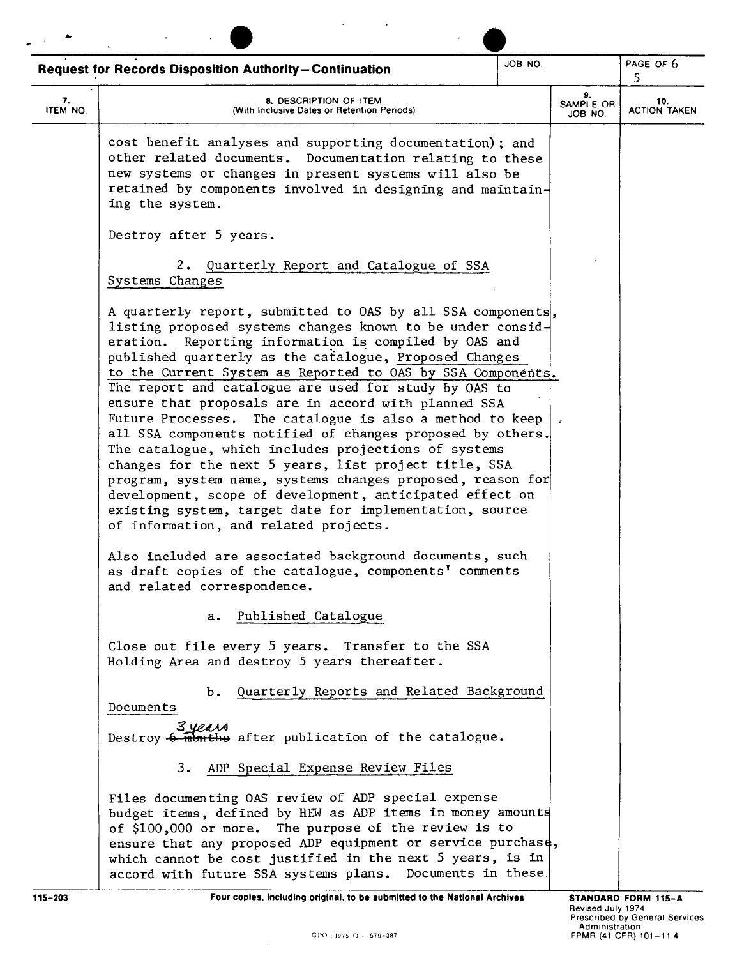|                | <b>Request for Records Disposition Authority-Continuation</b>                                                                                                                                                                                                                                                                                                                                                                                                                                                                                                                                                                                                                                                                                                                                                                                                                                         | JOB NO. |                            | PAGE OF 6<br>5             |
|----------------|-------------------------------------------------------------------------------------------------------------------------------------------------------------------------------------------------------------------------------------------------------------------------------------------------------------------------------------------------------------------------------------------------------------------------------------------------------------------------------------------------------------------------------------------------------------------------------------------------------------------------------------------------------------------------------------------------------------------------------------------------------------------------------------------------------------------------------------------------------------------------------------------------------|---------|----------------------------|----------------------------|
| 7.<br>ITEM NO. | 8. DESCRIPTION OF ITEM<br>(With Inclusive Dates or Retention Periods)                                                                                                                                                                                                                                                                                                                                                                                                                                                                                                                                                                                                                                                                                                                                                                                                                                 |         | 9.<br>SAMPLE OR<br>JOB NO. | 10.<br><b>ACTION TAKEN</b> |
|                | cost benefit analyses and supporting documentation); and<br>other related documents. Documentation relating to these<br>new systems or changes in present systems will also be<br>retained by components involved in designing and maintain-<br>ing the system.                                                                                                                                                                                                                                                                                                                                                                                                                                                                                                                                                                                                                                       |         |                            |                            |
|                | Destroy after 5 years.                                                                                                                                                                                                                                                                                                                                                                                                                                                                                                                                                                                                                                                                                                                                                                                                                                                                                |         |                            |                            |
|                | 2. Quarterly Report and Catalogue of SSA<br>Systems Changes                                                                                                                                                                                                                                                                                                                                                                                                                                                                                                                                                                                                                                                                                                                                                                                                                                           |         |                            |                            |
|                | A quarterly report, submitted to OAS by all SSA components,<br>listing proposed systems changes known to be under consid-<br>eration. Reporting information is compiled by OAS and<br>published quarterly as the catalogue, Proposed Changes<br>to the Current System as Reported to OAS by SSA Components.<br>The report and catalogue are used for study by OAS to<br>ensure that proposals are in accord with planned SSA<br>Future Processes. The catalogue is also a method to keep<br>all SSA components notified of changes proposed by others.<br>The catalogue, which includes projections of systems<br>changes for the next 5 years, list project title, SSA<br>program, system name, systems changes proposed, reason for<br>development, scope of development, anticipated effect on<br>existing system, target date for implementation, source<br>of information, and related projects. |         |                            |                            |
|                | Also included are associated background documents, such<br>as draft copies of the catalogue, components' comments<br>and related correspondence.                                                                                                                                                                                                                                                                                                                                                                                                                                                                                                                                                                                                                                                                                                                                                      |         |                            |                            |
|                | a. Published Catalogue                                                                                                                                                                                                                                                                                                                                                                                                                                                                                                                                                                                                                                                                                                                                                                                                                                                                                |         |                            |                            |
|                | Close out file every 5 years. Transfer to the SSA<br>Holding Area and destroy 5 years thereafter.                                                                                                                                                                                                                                                                                                                                                                                                                                                                                                                                                                                                                                                                                                                                                                                                     |         |                            |                            |
|                | Quarterly Reports and Related Background<br>ъ.<br>Documents                                                                                                                                                                                                                                                                                                                                                                                                                                                                                                                                                                                                                                                                                                                                                                                                                                           |         |                            |                            |
|                | 3 years<br>Destroy 6 months after publication of the catalogue.                                                                                                                                                                                                                                                                                                                                                                                                                                                                                                                                                                                                                                                                                                                                                                                                                                       |         |                            |                            |
|                | 3. ADP Special Expense Review Files                                                                                                                                                                                                                                                                                                                                                                                                                                                                                                                                                                                                                                                                                                                                                                                                                                                                   |         |                            |                            |
|                | Files documenting OAS review of ADP special expense<br>budget items, defined by HEW as ADP items in money amounts<br>of \$100,000 or more. The purpose of the review is to<br>ensure that any proposed ADP equipment or service purchase,<br>which cannot be cost justified in the next 5 years, is in<br>accord with future SSA systems plans. Documents in these.                                                                                                                                                                                                                                                                                                                                                                                                                                                                                                                                   |         |                            |                            |
| 115-203        | Four coples, including original, to be submitted to the National Archives                                                                                                                                                                                                                                                                                                                                                                                                                                                                                                                                                                                                                                                                                                                                                                                                                             |         |                            | STANDARD FORM 115-A        |

 $\mathcal{L}(\mathbf{A})$  and  $\mathcal{L}(\mathbf{A})$  and  $\mathcal{L}(\mathbf{A})$